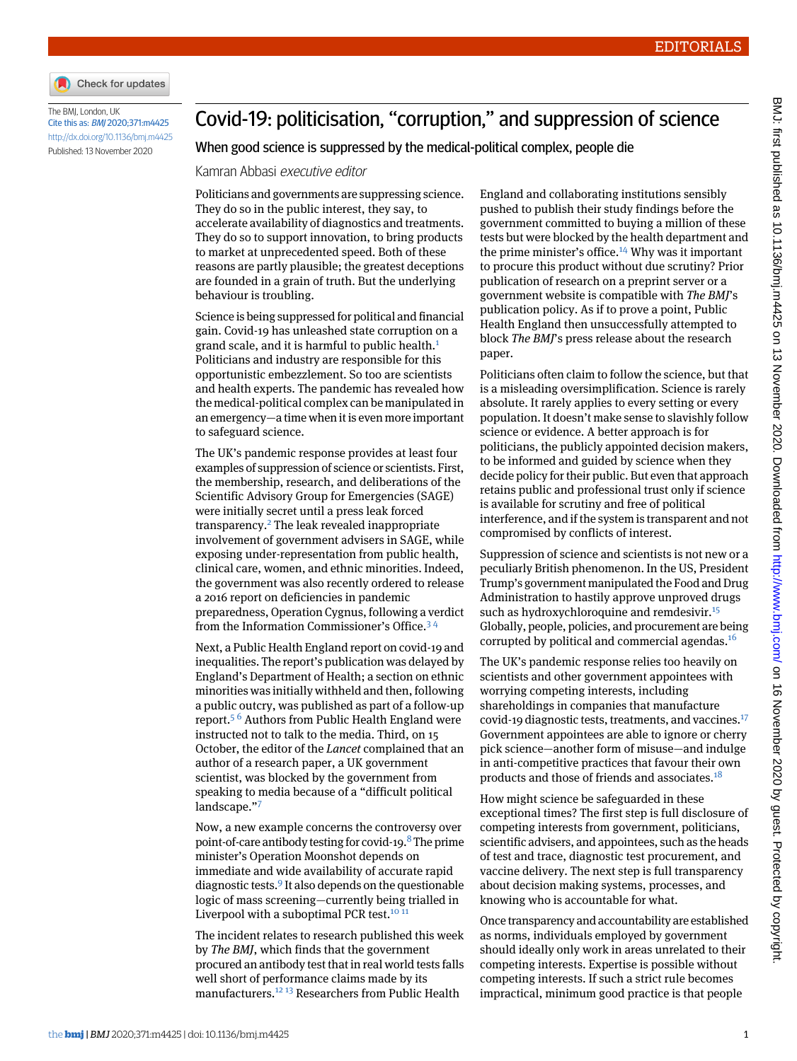

The BMJ, London, UK Cite this as: BMJ 2020;371:m4425 <http://dx.doi.org/10.1136/bmj.m4425> Published: 13 November 2020

## Covid-19: politicisation, "corruption," and suppression of science

## When good science is suppressed by the medical-political complex, people die

Kamran Abbasi executive editor

Politicians and governments are suppressing science. They do so in the public interest, they say, to accelerate availability of diagnostics and treatments. They do so to support innovation, to bring products to market at unprecedented speed. Both of these reasons are partly plausible; the greatest deceptions are founded in a grain of truth. But the underlying behaviour is troubling.

Science is being suppressed for political and financial gain. Covid-19 has unleashed state corruption on a grand scale, and it is harmful to public health.<sup>[1](#page-1-0)</sup> Politicians and industry are responsible for this opportunistic embezzlement. So too are scientists and health experts. The pandemic has revealed how the medical-political complex can be manipulated in an emergency—a time when it is even more important to safeguard science.

The UK's pandemic response provides at least four examples of suppression of science or scientists. First, the membership, research, and deliberations of the Scientific Advisory Group for Emergencies (SAGE) were initially secret until a press leak forced transparency.[2](#page-1-1) The leak revealed inappropriate involvement of government advisers in SAGE, while exposing under-representation from public health, clinical care, women, and ethnic minorities. Indeed, the government was also recently ordered to release a 2016 report on deficiencies in pandemic preparedness, Operation Cygnus, following a verdict from the Information Commissioner's Office.[3](#page-1-2) [4](#page-1-3)

Next, a Public Health England report on covid-19 and inequalities. The report's publication was delayed by England's Department of Health; a section on ethnic minorities was initially withheld and then, following a public outcry, was published as part of a follow-up report.[5](#page-1-4) [6](#page-1-5) Authors from Public Health England were instructed not to talk to the media. Third, on 15 October, the editor of the *Lancet* complained that an author of a research paper, a UK government scientist, was blocked by the government from speaking to media because of a "difficult political landscape."[7](#page-1-6)

Now, a new example concerns the controversy over point-of-care antibody testing for covid-19. $8$  The prime minister's Operation Moonshot depends on immediate and wide availability of accurate rapid diagnostic tests.<sup>[9](#page-1-8)</sup> It also depends on the questionable logic of mass screening—currently being trialled in Liverpool with a suboptimal PCR test.<sup>[10](#page-1-9) [11](#page-1-10)</sup>

The incident relates to research published this week by *The BMJ*, which finds that the government procured an antibody test that in real world tests falls well short of performance claims made by its manufacturers.[12](#page-1-11) [13](#page-1-12) Researchers from Public Health

England and collaborating institutions sensibly pushed to publish their study findings before the government committed to buying a million of these tests but were blocked by the health department and the prime minister's office.<sup>[14](#page-1-13)</sup> Why was it important to procure this product without due scrutiny? Prior publication of research on a preprint server or a government website is compatible with *The BMJ*'s publication policy. As if to prove a point, Public Health England then unsuccessfully attempted to block *The BMJ*'s press release about the research paper.

Politicians often claim to follow the science, but that is a misleading oversimplification. Science is rarely absolute. It rarely applies to every setting or every population. It doesn't make sense to slavishly follow science or evidence. A better approach is for politicians, the publicly appointed decision makers, to be informed and guided by science when they decide policy for their public. But even that approach retains public and professional trust only if science is available for scrutiny and free of political interference, and if the system is transparent and not compromised by conflicts of interest.

Suppression of science and scientists is not new or a peculiarly British phenomenon. In the US, President Trump's government manipulated the Food and Drug Administration to hastily approve unproved drugs such as hydroxychloroquine and remdesivir.<sup>[15](#page-1-14)</sup> Globally, people, policies, and procurement are being corrupted by political and commercial agendas.[16](#page-1-15)

The UK's pandemic response relies too heavily on scientists and other government appointees with worrying competing interests, including shareholdings in companies that manufacture covid-19 diagnostic tests, treatments, and vaccines.[17](#page-1-16) Government appointees are able to ignore or cherry pick science—another form of misuse—and indulge in anti-competitive practices that favour their own products and those of friends and associates.<sup>[18](#page-1-17)</sup>

How might science be safeguarded in these exceptional times? The first step is full disclosure of competing interests from government, politicians, scientific advisers, and appointees, such as the heads of test and trace, diagnostic test procurement, and vaccine delivery. The next step is full transparency about decision making systems, processes, and knowing who is accountable for what.

Once transparency and accountability are established as norms, individuals employed by government should ideally only work in areas unrelated to their competing interests. Expertise is possible without competing interests. If such a strict rule becomes impractical, minimum good practice is that people